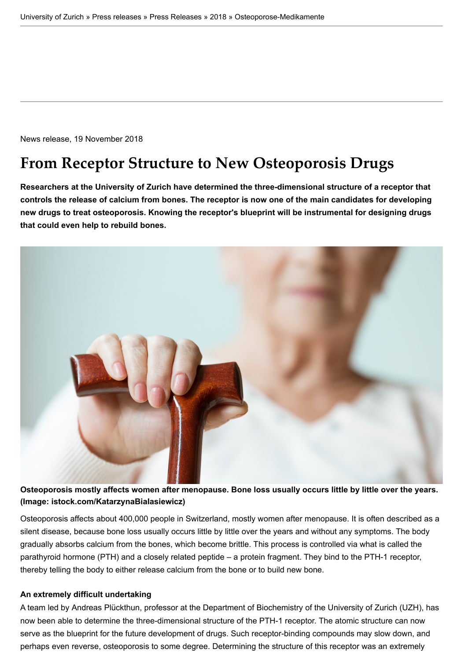# **From Receptor Structure to New Osteoporosis Drugs**

**[Researchers at the University of Zuri](http://www.uzh.ch/en.html)ch have determined the three-dimensional structure of a receptor that** controls the release of calcium from bones. The receptor is now one of the main candidates for develo new drugs to treat osteoporosis. Knowing the receptor's blueprint will be instrumental for designing d **that could even help to rebuild bones.**



## **Osteoporosis mostly affects women after menopause. Bone loss usually occurs little by little over the (Image: istock.com/KatarzynaBialasiewicz)**

Osteoporosis affects about 400,000 people in Switzerland, mostly women after menopause. It is often described as an as an as an as an as an as an as an as an as an as an as an as an as an as an as an as an as an as an as a silent disease, because bone loss usually occurs little by little over the years and without any symptoms. The l gradually absorbs calcium from the bones, which become brittle. This process is controlled via what is called t parathyroid hormone (PTH) and a closely related peptide – a protein fragment. They bind to the PTH-1 receptor, thereby telling the body to either release calcium from the bone or to build new bone.

#### **An extremely difficult undertaking**

A team led by Andreas Plückthun, professor at the Department of Biochemistry of the University of Zurich (UZ now been able to determine the three-dimensional structure of the PTH-1 receptor. The atomic structure can r serve as the blueprint for the future development of drugs. Such receptor-binding compounds may slow down, perhaps even reverse, osteoporosis to some degree. Determining the structure of this receptor was an extrem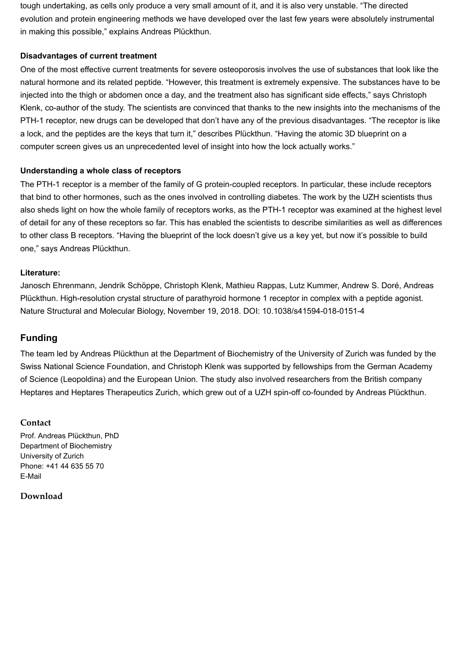a lock, and the peptides are the keys that turn it," describes Plückthun. "Having the atomic 3D blueprint on a computer screen gives us an unprecedented level of insight into how the lock actually works."

#### **Understanding a whole class of receptors**

The PTH-1 receptor is a member of the family of G protein-coupled receptors. In particular, these include rece that bind to other hormones, such as the ones involved in controlling diabetes. The work by the UZH scientists also sheds light on how the whole family of receptors works, as the PTH-1 receptor was examined at the highe of detail for any of these receptors so far. This has enabled the scientists to describe similarities as well as diff to other class B receptors. "Having the blueprint of the lock doesn't give us a key yet, but now it's possible to b one," says Andreas Plückthun.

#### **Literature:**

Janosch Ehrenmann, Jendrik Schöppe, Christoph Klenk, Mathieu Rappas, Lutz Kummer, Andrew S. Doré, An Plückthun. High-resolution crystal structure of parathyroid hormone 1 receptor in complex with a peptide agon Nature Structural and Molecular Biology, November 19, 2018. DOI: 10.1038/s41594-018-0151-4

# **Funding**

The team led by Andreas Plückthun at the Department of Biochemistry of the University of Zurich was funded Swiss National Science Foundation, and Christoph Klenk was supported by fellowships from the German Academy of Science (Leopoldina) and the European Union. The study also involved researchers from the British compa Heptares and Heptares Therapeutics Zurich, which grew out of a UZH spin-off co-founded by Andreas Plückth

### **Contact**

Prof. Andreas Plückthun, PhD Department of Biochemistry University of Zurich Phone: +41 44 635 55 70 E-Mail

**Download**